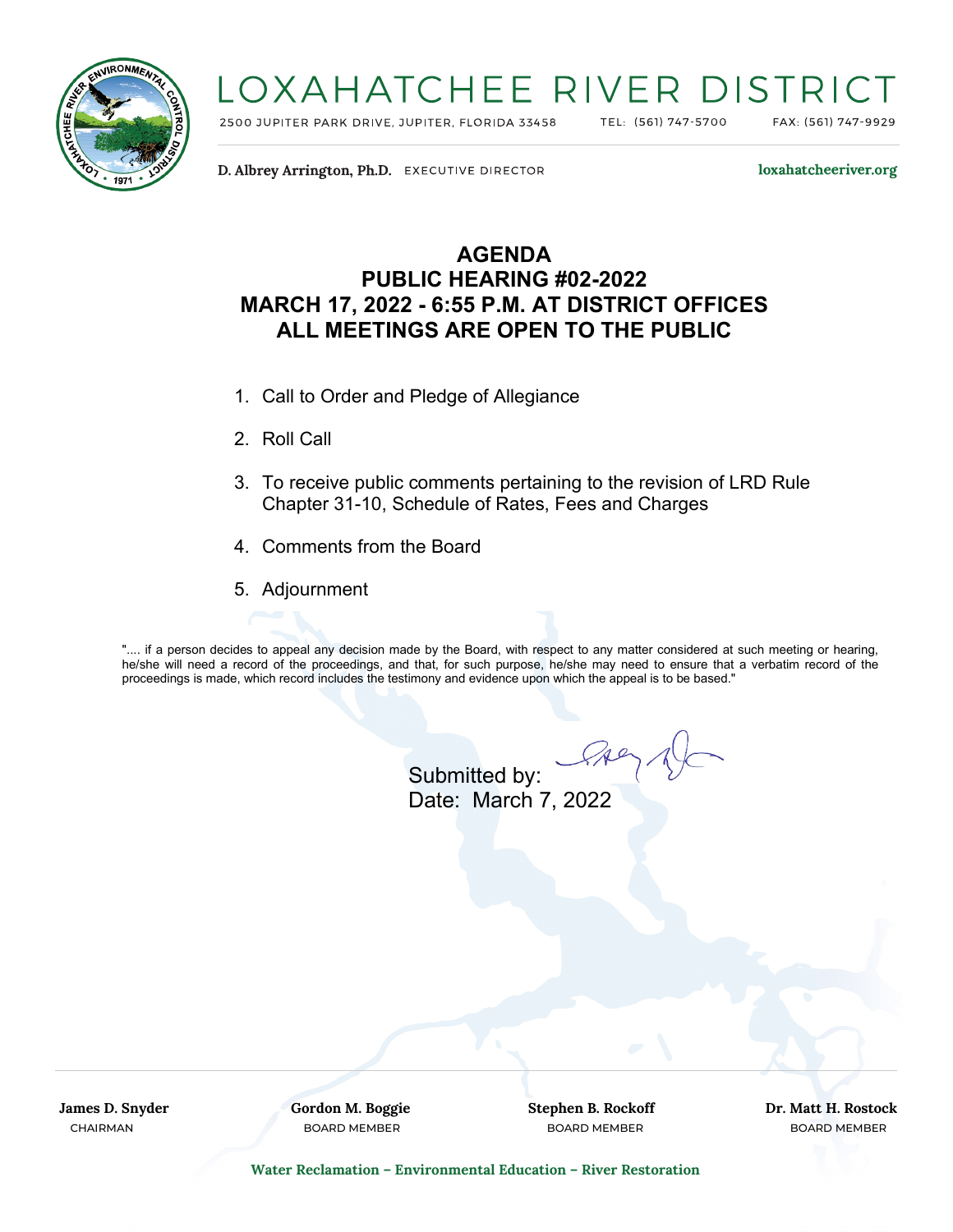

## LOXAHATCHEE RIVER DISTRIC

2500 JUPITER PARK DRIVE, JUPITER, FLORIDA 33458

TEL: (561) 747-5700

FAX: (561) 747-9929

D. Albrey Arrington, Ph.D. EXECUTIVE DIRECTOR

loxahatcheeriver.org

## **AGENDA PUBLIC HEARING #02-2022 MARCH 17, 2022 - 6:55 P.M. AT DISTRICT OFFICES ALL MEETINGS ARE OPEN TO THE PUBLIC**

- 1. Call to Order and Pledge of Allegiance
- 2. Roll Call
- 3. To receive public comments pertaining to the revision of LRD Rule Chapter 31-10, Schedule of Rates, Fees and Charges
- 4. Comments from the Board
- 5. Adjournment

".... if a person decides to appeal any decision made by the Board, with respect to any matter considered at such meeting or hearing, he/she will need a record of the proceedings, and that, for such purpose, he/she may need to ensure that a verbatim record of the proceedings is made, which record includes the testimony and evidence upon which the appeal is to be based."

Submitted by: Date: March 7, 2022

**James D. Snyder Gordon M. Boggie Stephen B. Rockoff Dr. Matt H. Rostock** CHAIRMAN BOARD MEMBER BOARD MEMBER BOARD MEMBER

**Water Reclamation – Environmental Education – River Restoration**